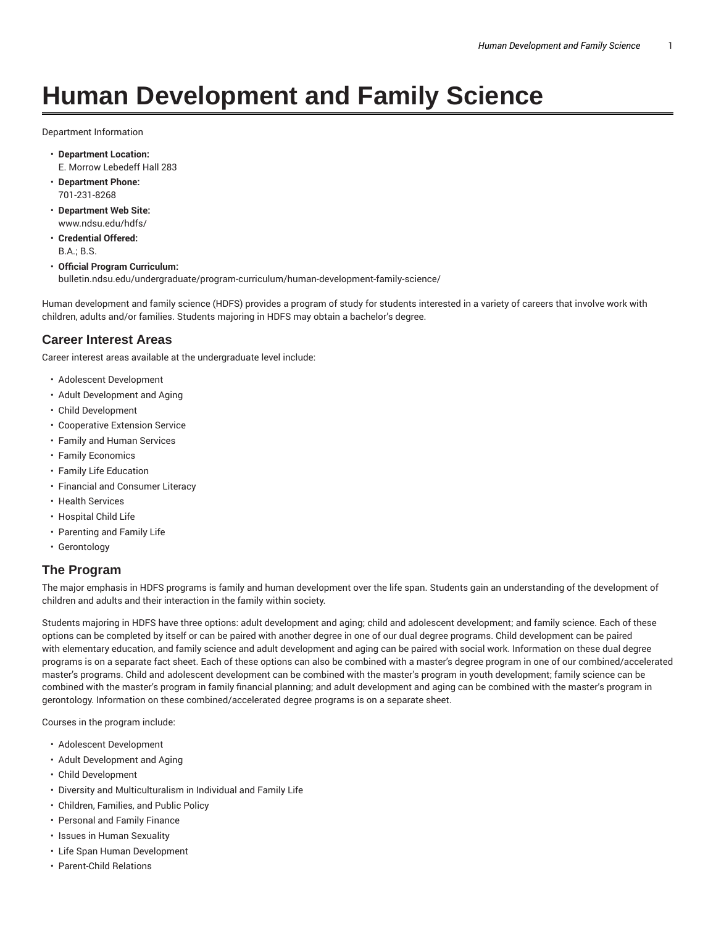# **Human Development and Family Science**

Department Information

- **Department Location:** E. Morrow Lebedeff Hall 283
- **Department Phone:** 701-231-8268
- **Department Web Site:** www.ndsu.edu/hdfs/
- **Credential Offered:** B.A.; B.S.

#### • **Official Program Curriculum:**

bulletin.ndsu.edu/undergraduate/program-curriculum/human-development-family-science/

Human development and family science (HDFS) provides a program of study for students interested in a variety of careers that involve work with children, adults and/or families. Students majoring in HDFS may obtain a bachelor's degree.

#### **Career Interest Areas**

Career interest areas available at the undergraduate level include:

- Adolescent Development
- Adult Development and Aging
- Child Development
- Cooperative Extension Service
- Family and Human Services
- Family Economics
- Family Life Education
- Financial and Consumer Literacy
- Health Services
- Hospital Child Life
- Parenting and Family Life
- Gerontology

#### **The Program**

The major emphasis in HDFS programs is family and human development over the life span. Students gain an understanding of the development of children and adults and their interaction in the family within society.

Students majoring in HDFS have three options: adult development and aging; child and adolescent development; and family science. Each of these options can be completed by itself or can be paired with another degree in one of our dual degree programs. Child development can be paired with elementary education, and family science and adult development and aging can be paired with social work. Information on these dual degree programs is on a separate fact sheet. Each of these options can also be combined with a master's degree program in one of our combined/accelerated master's programs. Child and adolescent development can be combined with the master's program in youth development; family science can be combined with the master's program in family financial planning; and adult development and aging can be combined with the master's program in gerontology. Information on these combined/accelerated degree programs is on a separate sheet.

Courses in the program include:

- Adolescent Development
- Adult Development and Aging
- Child Development
- Diversity and Multiculturalism in Individual and Family Life
- Children, Families, and Public Policy
- Personal and Family Finance
- Issues in Human Sexuality
- Life Span Human Development
- Parent-Child Relations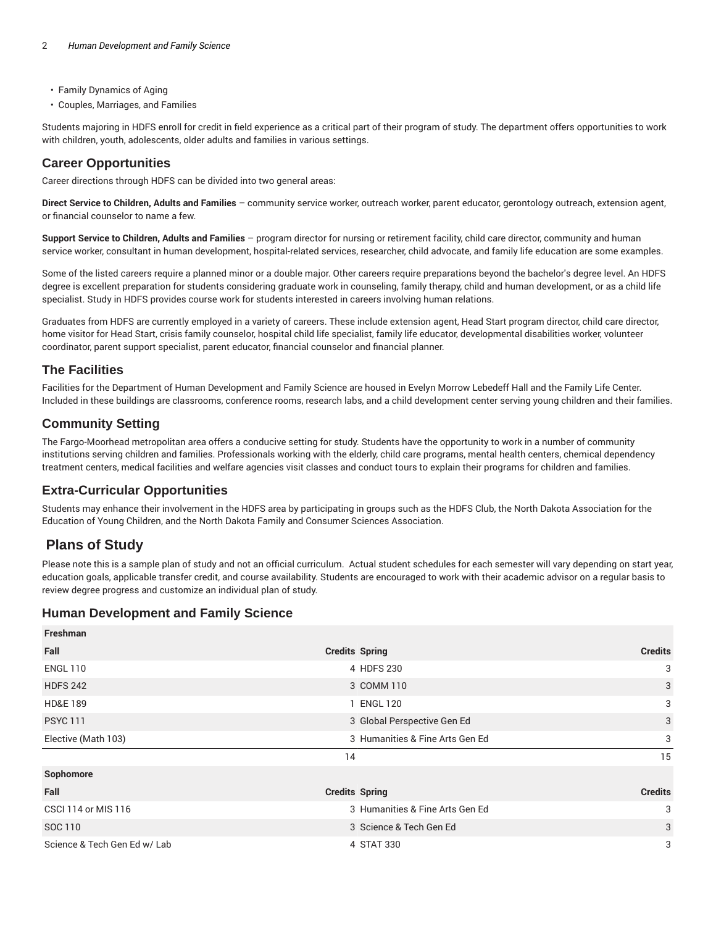- Family Dynamics of Aging
- Couples, Marriages, and Families

Students majoring in HDFS enroll for credit in field experience as a critical part of their program of study. The department offers opportunities to work with children, youth, adolescents, older adults and families in various settings.

## **Career Opportunities**

Career directions through HDFS can be divided into two general areas:

**Direct Service to Children, Adults and Families** – community service worker, outreach worker, parent educator, gerontology outreach, extension agent, or financial counselor to name a few.

**Support Service to Children, Adults and Families** – program director for nursing or retirement facility, child care director, community and human service worker, consultant in human development, hospital-related services, researcher, child advocate, and family life education are some examples.

Some of the listed careers require a planned minor or a double major. Other careers require preparations beyond the bachelor's degree level. An HDFS degree is excellent preparation for students considering graduate work in counseling, family therapy, child and human development, or as a child life specialist. Study in HDFS provides course work for students interested in careers involving human relations.

Graduates from HDFS are currently employed in a variety of careers. These include extension agent, Head Start program director, child care director, home visitor for Head Start, crisis family counselor, hospital child life specialist, family life educator, developmental disabilities worker, volunteer coordinator, parent support specialist, parent educator, financial counselor and financial planner.

## **The Facilities**

Facilities for the Department of Human Development and Family Science are housed in Evelyn Morrow Lebedeff Hall and the Family Life Center. Included in these buildings are classrooms, conference rooms, research labs, and a child development center serving young children and their families.

## **Community Setting**

The Fargo-Moorhead metropolitan area offers a conducive setting for study. Students have the opportunity to work in a number of community institutions serving children and families. Professionals working with the elderly, child care programs, mental health centers, chemical dependency treatment centers, medical facilities and welfare agencies visit classes and conduct tours to explain their programs for children and families.

## **Extra-Curricular Opportunities**

Students may enhance their involvement in the HDFS area by participating in groups such as the HDFS Club, the North Dakota Association for the Education of Young Children, and the North Dakota Family and Consumer Sciences Association.

## **Plans of Study**

Please note this is a sample plan of study and not an official curriculum. Actual student schedules for each semester will vary depending on start year, education goals, applicable transfer credit, and course availability. Students are encouraged to work with their academic advisor on a regular basis to review degree progress and customize an individual plan of study.

## **Human Development and Family Science**

| <b>Credits Spring</b>           | <b>Credits</b> |
|---------------------------------|----------------|
| 4 HDFS 230                      | 3              |
| 3 COMM 110                      | 3              |
| 1 ENGL 120                      | 3              |
| 3 Global Perspective Gen Ed     | 3              |
| 3 Humanities & Fine Arts Gen Ed | 3              |
| 14                              | 15             |
|                                 |                |
| <b>Credits Spring</b>           | <b>Credits</b> |
| 3 Humanities & Fine Arts Gen Ed | 3              |
| 3 Science & Tech Gen Ed         | 3              |
|                                 |                |
|                                 |                |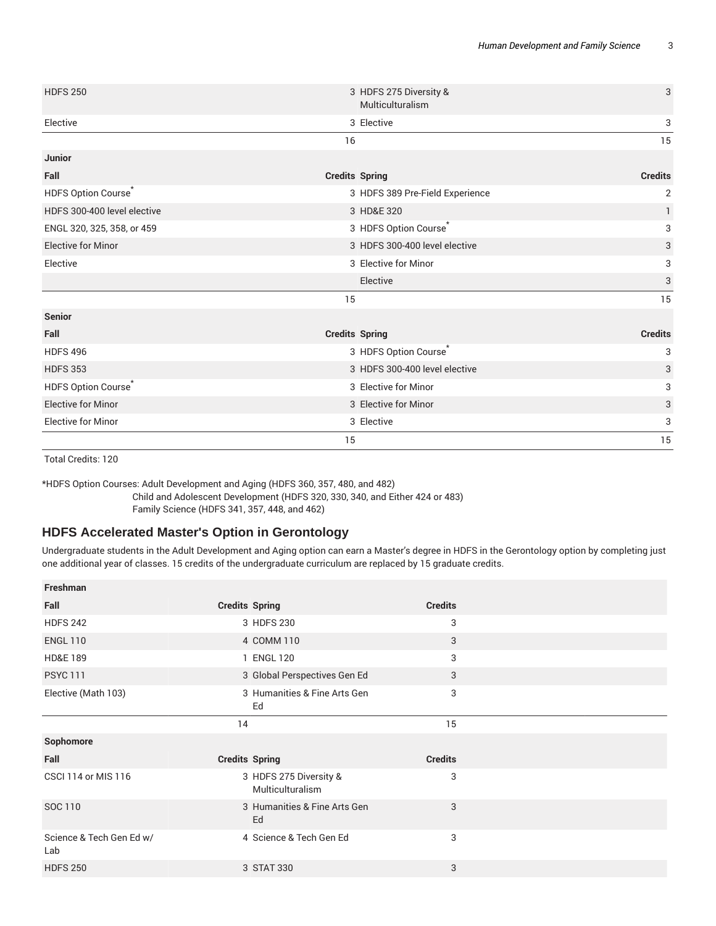| <b>HDFS 250</b>                 | 3 HDFS 275 Diversity &<br>Multiculturalism | $\sqrt{3}$                |
|---------------------------------|--------------------------------------------|---------------------------|
| Elective                        | 3 Elective                                 | 3                         |
|                                 | 16                                         | 15                        |
| <b>Junior</b>                   |                                            |                           |
| Fall                            | <b>Credits Spring</b>                      | <b>Credits</b>            |
| HDFS Option Course <sup>*</sup> | 3 HDFS 389 Pre-Field Experience            | $\mathbf{2}$              |
| HDFS 300-400 level elective     | 3 HD&E 320                                 | $\mathbf{1}$              |
| ENGL 320, 325, 358, or 459      | 3 HDFS Option Course*                      | 3                         |
| <b>Elective for Minor</b>       | 3 HDFS 300-400 level elective              | 3                         |
| Elective                        | 3 Elective for Minor                       | 3                         |
|                                 | Elective                                   | $\ensuremath{\mathsf{3}}$ |
|                                 | 15                                         | 15                        |
| <b>Senior</b>                   |                                            |                           |
| Fall                            | <b>Credits Spring</b>                      | <b>Credits</b>            |
| <b>HDFS 496</b>                 | 3 HDFS Option Course <sup>*</sup>          | 3                         |
| <b>HDFS 353</b>                 | 3 HDFS 300-400 level elective              | 3                         |
| HDFS Option Course <sup>*</sup> | 3 Elective for Minor                       | 3                         |
| <b>Elective for Minor</b>       | 3 Elective for Minor                       | 3                         |
| <b>Elective for Minor</b>       | 3 Elective                                 | 3                         |
|                                 | 15                                         | 15                        |

Total Credits: 120

\*HDFS Option Courses: Adult Development and Aging (HDFS 360, 357, 480, and 482)

Child and Adolescent Development (HDFS 320, 330, 340, and Either 424 or 483)

Family Science (HDFS 341, 357, 448, and 462)

#### **HDFS Accelerated Master's Option in Gerontology**

Undergraduate students in the Adult Development and Aging option can earn a Master's degree in HDFS in the Gerontology option by completing just one additional year of classes. 15 credits of the undergraduate curriculum are replaced by 15 graduate credits.

| Freshman                        |                                            |                |  |
|---------------------------------|--------------------------------------------|----------------|--|
| Fall                            | <b>Credits Spring</b>                      | <b>Credits</b> |  |
| <b>HDFS 242</b>                 | 3 HDFS 230                                 | 3              |  |
| <b>ENGL 110</b>                 | 4 COMM 110                                 | 3              |  |
| <b>HD&amp;E 189</b>             | 1 ENGL 120                                 | 3              |  |
| <b>PSYC 111</b>                 | 3 Global Perspectives Gen Ed               | 3              |  |
| Elective (Math 103)             | 3 Humanities & Fine Arts Gen<br>Ed         | 3              |  |
|                                 | 14                                         | 15             |  |
|                                 |                                            |                |  |
| Sophomore                       |                                            |                |  |
| Fall                            | <b>Credits Spring</b>                      | <b>Credits</b> |  |
| <b>CSCI 114 or MIS 116</b>      | 3 HDFS 275 Diversity &<br>Multiculturalism | 3              |  |
| SOC 110                         | 3 Humanities & Fine Arts Gen<br>Ed         | 3              |  |
| Science & Tech Gen Ed w/<br>Lab | 4 Science & Tech Gen Ed                    | 3              |  |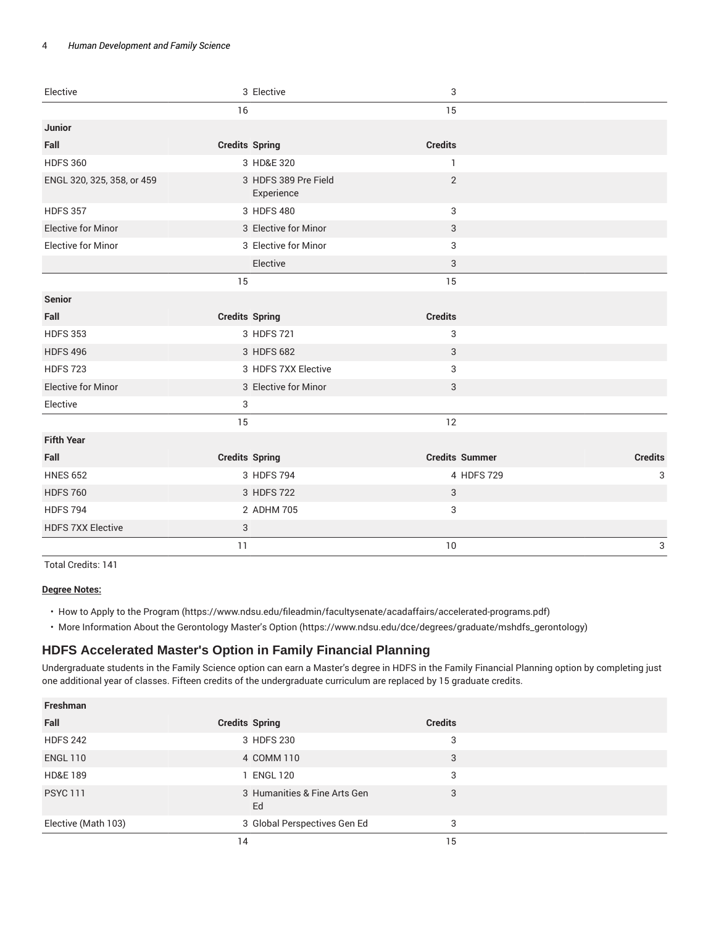#### 4 *Human Development and Family Science*

| Elective                   | 3 Elective                         | $\ensuremath{\mathsf{3}}$ |                 |
|----------------------------|------------------------------------|---------------------------|-----------------|
|                            | 16                                 | 15                        |                 |
| Junior                     |                                    |                           |                 |
| Fall                       | <b>Credits Spring</b>              | <b>Credits</b>            |                 |
| <b>HDFS 360</b>            | 3 HD&E 320                         | $\mathbf{1}$              |                 |
| ENGL 320, 325, 358, or 459 | 3 HDFS 389 Pre Field<br>Experience | $\overline{2}$            |                 |
| <b>HDFS 357</b>            | 3 HDFS 480                         | 3                         |                 |
| <b>Elective for Minor</b>  | 3 Elective for Minor               | 3                         |                 |
| <b>Elective for Minor</b>  | 3 Elective for Minor               | 3                         |                 |
|                            | Elective                           | 3                         |                 |
|                            | 15                                 | 15                        |                 |
| <b>Senior</b>              |                                    |                           |                 |
| Fall                       | <b>Credits Spring</b>              | <b>Credits</b>            |                 |
| <b>HDFS 353</b>            | 3 HDFS 721                         | 3                         |                 |
| <b>HDFS 496</b>            | 3 HDFS 682                         | 3                         |                 |
| <b>HDFS 723</b>            | 3 HDFS 7XX Elective                | 3                         |                 |
| <b>Elective for Minor</b>  | 3 Elective for Minor               | 3                         |                 |
| Elective                   | 3                                  |                           |                 |
|                            | 15                                 | 12                        |                 |
| <b>Fifth Year</b>          |                                    |                           |                 |
| Fall                       | <b>Credits Spring</b>              | <b>Credits Summer</b>     | <b>Credits</b>  |
| <b>HNES 652</b>            | 3 HDFS 794                         |                           | 4 HDFS 729<br>3 |
| <b>HDFS 760</b>            | 3 HDFS 722                         | $\sqrt{3}$                |                 |
| <b>HDFS 794</b>            | 2 ADHM 705                         | 3                         |                 |
| <b>HDFS 7XX Elective</b>   | 3                                  |                           |                 |
|                            | 11                                 | 10                        | 3               |

Total Credits: 141

#### **Degree Notes:**

• How to Apply to the Program (https://www.ndsu.edu/fileadmin/facultysenate/acadaffairs/accelerated-programs.pdf)

• More Information About the Gerontology Master's Option (https://www.ndsu.edu/dce/degrees/graduate/mshdfs\_gerontology)

## **HDFS Accelerated Master's Option in Family Financial Planning**

Undergraduate students in the Family Science option can earn a Master's degree in HDFS in the Family Financial Planning option by completing just one additional year of classes. Fifteen credits of the undergraduate curriculum are replaced by 15 graduate credits.

| Freshman            |                                    |                |  |
|---------------------|------------------------------------|----------------|--|
| Fall                | <b>Credits Spring</b>              | <b>Credits</b> |  |
| <b>HDFS 242</b>     | 3 HDFS 230                         | 3              |  |
| <b>ENGL 110</b>     | 4 COMM 110                         | 3              |  |
| <b>HD&amp;E 189</b> | 1 ENGL 120                         | 3              |  |
| <b>PSYC 111</b>     | 3 Humanities & Fine Arts Gen<br>Ed | 3              |  |
| Elective (Math 103) | 3 Global Perspectives Gen Ed       | 3              |  |
|                     | 14                                 | 15             |  |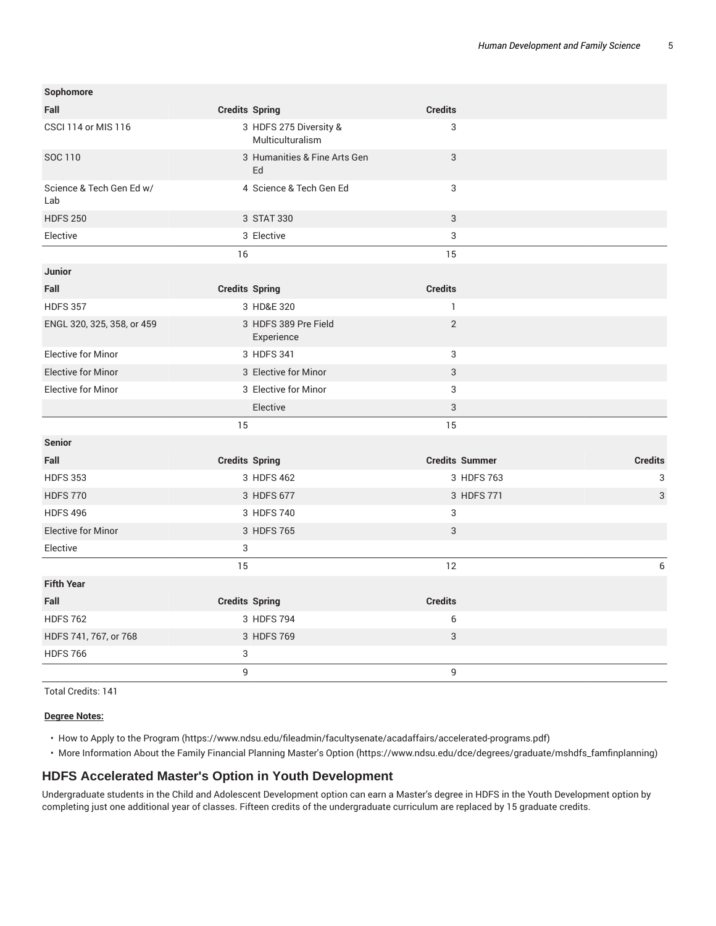| Sophomore                       |                       |                                            |                           |                |
|---------------------------------|-----------------------|--------------------------------------------|---------------------------|----------------|
| Fall                            | <b>Credits Spring</b> |                                            | <b>Credits</b>            |                |
| <b>CSCI 114 or MIS 116</b>      |                       | 3 HDFS 275 Diversity &<br>Multiculturalism | 3                         |                |
| SOC 110                         |                       | 3 Humanities & Fine Arts Gen<br>Ed         | $\ensuremath{\mathsf{3}}$ |                |
| Science & Tech Gen Ed w/<br>Lab |                       | 4 Science & Tech Gen Ed                    | 3                         |                |
| <b>HDFS 250</b>                 |                       | 3 STAT 330                                 | $\sqrt{3}$                |                |
| Elective                        |                       | 3 Elective                                 | 3                         |                |
|                                 | 16                    |                                            | 15                        |                |
| <b>Junior</b>                   |                       |                                            |                           |                |
| Fall                            | <b>Credits Spring</b> |                                            | <b>Credits</b>            |                |
| <b>HDFS 357</b>                 |                       | 3 HD&E 320                                 | $\mathbf{1}$              |                |
| ENGL 320, 325, 358, or 459      |                       | 3 HDFS 389 Pre Field<br>Experience         | $\sqrt{2}$                |                |
| <b>Elective for Minor</b>       |                       | 3 HDFS 341                                 | $\ensuremath{\mathsf{3}}$ |                |
| <b>Elective for Minor</b>       |                       | 3 Elective for Minor                       | $\ensuremath{\mathsf{3}}$ |                |
| <b>Elective for Minor</b>       |                       | 3 Elective for Minor                       | 3                         |                |
|                                 |                       | Elective                                   | $\ensuremath{\mathsf{3}}$ |                |
|                                 | 15                    |                                            | 15                        |                |
| <b>Senior</b>                   |                       |                                            |                           |                |
| Fall                            | <b>Credits Spring</b> |                                            | <b>Credits Summer</b>     | <b>Credits</b> |
| <b>HDFS 353</b>                 |                       | 3 HDFS 462                                 | 3 HDFS 763                | 3              |
| <b>HDFS 770</b>                 |                       | 3 HDFS 677                                 | 3 HDFS 771                | 3              |
| <b>HDFS 496</b>                 |                       | 3 HDFS 740                                 | 3                         |                |
| <b>Elective for Minor</b>       |                       | 3 HDFS 765                                 | 3                         |                |
| Elective                        | 3                     |                                            |                           |                |
|                                 | 15                    |                                            | 12                        | 6              |
| <b>Fifth Year</b>               |                       |                                            |                           |                |
| Fall                            | <b>Credits Spring</b> |                                            | <b>Credits</b>            |                |
| <b>HDFS 762</b>                 |                       | 3 HDFS 794                                 | 6                         |                |
| HDFS 741, 767, or 768           |                       | 3 HDFS 769                                 | 3                         |                |
| <b>HDFS 766</b>                 | 3                     |                                            |                           |                |
|                                 | 9                     |                                            | $\mathsf g$               |                |

Total Credits: 141

#### **Degree Notes:**

• How to Apply to the Program (https://www.ndsu.edu/fileadmin/facultysenate/acadaffairs/accelerated-programs.pdf)

• More Information About the Family Financial Planning Master's Option (https://www.ndsu.edu/dce/degrees/graduate/mshdfs\_famfinplanning)

#### **HDFS Accelerated Master's Option in Youth Development**

Undergraduate students in the Child and Adolescent Development option can earn a Master's degree in HDFS in the Youth Development option by completing just one additional year of classes. Fifteen credits of the undergraduate curriculum are replaced by 15 graduate credits.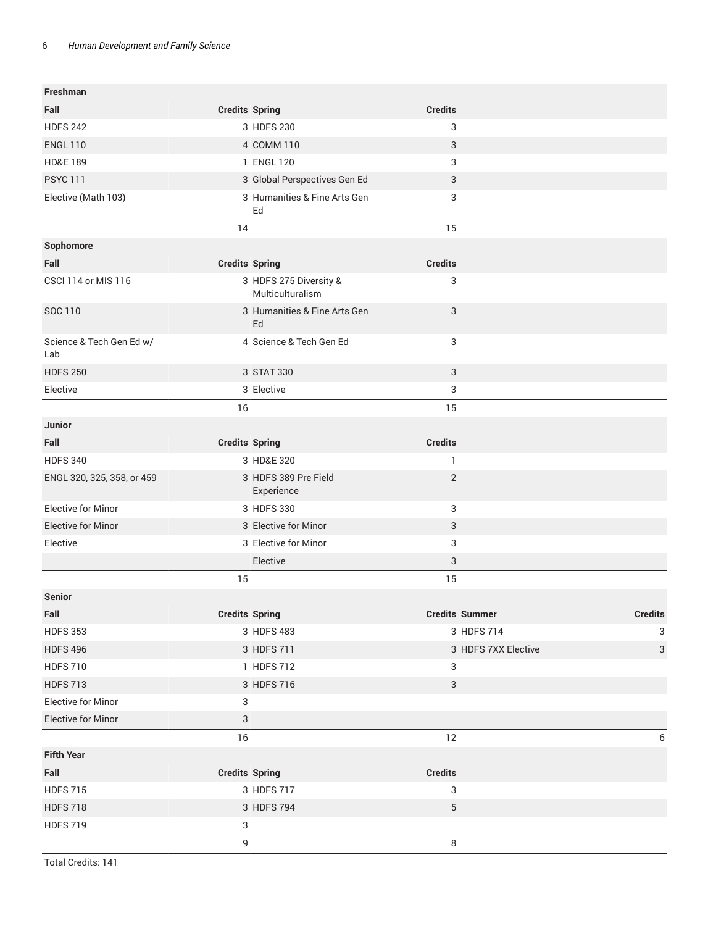| Freshman                        |                       |                                            |                |                       |                |
|---------------------------------|-----------------------|--------------------------------------------|----------------|-----------------------|----------------|
| Fall                            | <b>Credits Spring</b> |                                            | <b>Credits</b> |                       |                |
| <b>HDFS 242</b>                 |                       | 3 HDFS 230                                 | 3              |                       |                |
| <b>ENGL 110</b>                 |                       | 4 COMM 110                                 | 3              |                       |                |
| <b>HD&amp;E 189</b>             |                       | 1 ENGL 120                                 | 3              |                       |                |
| <b>PSYC 111</b>                 |                       | 3 Global Perspectives Gen Ed               | 3              |                       |                |
| Elective (Math 103)             |                       | 3 Humanities & Fine Arts Gen<br>Ed         | 3              |                       |                |
|                                 | 14                    |                                            | 15             |                       |                |
| Sophomore                       |                       |                                            |                |                       |                |
| Fall                            | <b>Credits Spring</b> |                                            | <b>Credits</b> |                       |                |
| <b>CSCI 114 or MIS 116</b>      |                       | 3 HDFS 275 Diversity &<br>Multiculturalism | 3              |                       |                |
| SOC 110                         |                       | 3 Humanities & Fine Arts Gen<br>Ed         | 3              |                       |                |
| Science & Tech Gen Ed w/<br>Lab |                       | 4 Science & Tech Gen Ed                    | 3              |                       |                |
| <b>HDFS 250</b>                 |                       | 3 STAT 330                                 | 3              |                       |                |
| Elective                        |                       | 3 Elective                                 | 3              |                       |                |
|                                 | 16                    |                                            | 15             |                       |                |
| <b>Junior</b>                   |                       |                                            |                |                       |                |
| Fall                            | <b>Credits Spring</b> |                                            | <b>Credits</b> |                       |                |
| <b>HDFS 340</b>                 |                       | 3 HD&E 320                                 | 1              |                       |                |
| ENGL 320, 325, 358, or 459      |                       | 3 HDFS 389 Pre Field<br>Experience         | $\overline{2}$ |                       |                |
| <b>Elective for Minor</b>       |                       | 3 HDFS 330                                 | 3              |                       |                |
| <b>Elective for Minor</b>       |                       | 3 Elective for Minor                       | 3              |                       |                |
| Elective                        |                       | 3 Elective for Minor                       | 3              |                       |                |
|                                 |                       | Elective                                   | 3              |                       |                |
|                                 | 15                    |                                            | 15             |                       |                |
| <b>Senior</b>                   |                       |                                            |                |                       |                |
| Fall                            | <b>Credits Spring</b> |                                            |                | <b>Credits Summer</b> | <b>Credits</b> |
| <b>HDFS 353</b>                 |                       | 3 HDFS 483                                 |                | 3 HDFS 714            | 3              |
| <b>HDFS 496</b>                 |                       | 3 HDFS 711                                 |                | 3 HDFS 7XX Elective   | $\sqrt{3}$     |
| <b>HDFS 710</b>                 |                       | 1 HDFS 712                                 | 3              |                       |                |
| <b>HDFS 713</b>                 |                       | 3 HDFS 716                                 | 3              |                       |                |
| <b>Elective for Minor</b>       | 3                     |                                            |                |                       |                |
| <b>Elective for Minor</b>       | 3                     |                                            |                |                       |                |
|                                 | $16$                  |                                            | 12             |                       | 6              |
| <b>Fifth Year</b>               |                       |                                            |                |                       |                |
| Fall                            | <b>Credits Spring</b> |                                            | <b>Credits</b> |                       |                |
| <b>HDFS 715</b>                 |                       | 3 HDFS 717                                 | 3              |                       |                |
| <b>HDFS 718</b>                 |                       | 3 HDFS 794                                 | $\,$ 5 $\,$    |                       |                |
| <b>HDFS 719</b>                 | 3                     |                                            |                |                       |                |
|                                 | 9                     |                                            | 8              |                       |                |